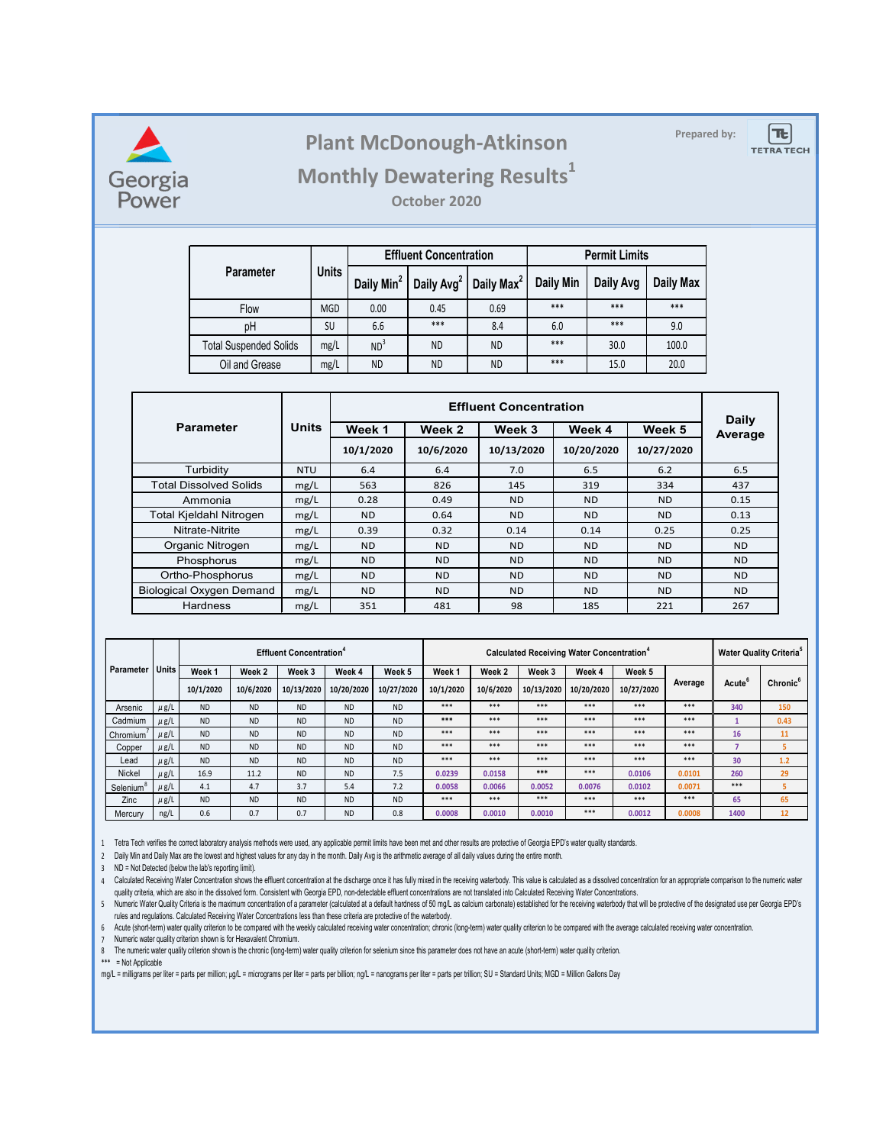

### **Prepared by: Plant McDonough-Atkinson**

**TE TETRA TECH** 

### **Monthly Dewatering Results<sup>1</sup>**

**October 2020**

|                               |              |                        | <b>Effluent Concentration</b> |                        | <b>Permit Limits</b> |           |           |  |
|-------------------------------|--------------|------------------------|-------------------------------|------------------------|----------------------|-----------|-----------|--|
| <b>Parameter</b>              | <b>Units</b> | Daily Min <sup>2</sup> | Daily Avg <sup>2</sup>        | Daily Max <sup>2</sup> | Daily Min            | Daily Avg | Daily Max |  |
| Flow                          | <b>MGD</b>   | 0.00                   | 0.45                          | 0.69                   | $***$                | ***       | $***$     |  |
| pH                            | SU           | 6.6                    | $***$                         | 8.4                    | 6.0                  | ***       | 9.0       |  |
| <b>Total Suspended Solids</b> | mg/L         | ND <sup>3</sup>        | <b>ND</b>                     | <b>ND</b>              | $***$                | 30.0      | 100.0     |  |
| Oil and Grease                | mg/L         | <b>ND</b>              | <b>ND</b>                     | <b>ND</b>              | ***                  | 15.0      | 20.0      |  |

|                                 |              |                | Daily            |            |                |            |                |
|---------------------------------|--------------|----------------|------------------|------------|----------------|------------|----------------|
| <b>Parameter</b>                | <b>Units</b> | Week 1         | Week 2<br>Week 3 |            | Week 4         | Week 5     | Average        |
|                                 |              | 10/1/2020      | 10/6/2020        | 10/13/2020 | 10/20/2020     | 10/27/2020 |                |
| Turbidity                       | <b>NTU</b>   | 6.4            | 6.4              | 7.0        | 6.5            | 6.2        | 6.5            |
| <b>Total Dissolved Solids</b>   | mg/L         | 563            | 826              | 145        | 319            | 334        | 437            |
| Ammonia                         | mg/L         | 0.28           | 0.49             | <b>ND</b>  | <b>ND</b>      | <b>ND</b>  | 0.15           |
| Total Kjeldahl Nitrogen         | mg/L         | <b>ND</b>      | 0.64             | <b>ND</b>  | <b>ND</b>      | <b>ND</b>  | 0.13           |
| Nitrate-Nitrite                 | mg/L         | 0.39           | 0.32             | 0.14       | 0.14           | 0.25       | 0.25           |
| Organic Nitrogen                | mg/L         | <b>ND</b>      | ND.              | <b>ND</b>  | N <sub>D</sub> | <b>ND</b>  | N <sub>D</sub> |
| Phosphorus                      | mg/L         | <b>ND</b>      | <b>ND</b>        | <b>ND</b>  | <b>ND</b>      | <b>ND</b>  | ND.            |
| Ortho-Phosphorus                | mg/L         | N <sub>D</sub> | ND.              | <b>ND</b>  | <b>ND</b>      | <b>ND</b>  | <b>ND</b>      |
| <b>Biological Oxygen Demand</b> | mg/L         | N <sub>D</sub> | ND.              | <b>ND</b>  | <b>ND</b>      | <b>ND</b>  | <b>ND</b>      |
| <b>Hardness</b>                 | mg/L         | 351            | 481              | 98         | 185            | 221        | 267            |

|                       |              | <b>Effluent Concentration</b> <sup>4</sup> |           |            |            |            | Calculated Receiving Water Concentration <sup>*</sup> |           |            |            |            | <b>Water Quality Criteria</b> <sup>5</sup> |              |                      |
|-----------------------|--------------|--------------------------------------------|-----------|------------|------------|------------|-------------------------------------------------------|-----------|------------|------------|------------|--------------------------------------------|--------------|----------------------|
| Parameter             | <b>Units</b> | Week 1                                     | Week 2    | Week 3     | Week 4     | Week 5     | Week <sub>1</sub>                                     | Week 2    | Week 3     | Week 4     | Week 5     |                                            |              |                      |
|                       |              | 10/1/2020                                  | 10/6/2020 | 10/13/2020 | 10/20/2020 | 10/27/2020 | 10/1/2020                                             | 10/6/2020 | 10/13/2020 | 10/20/2020 | 10/27/2020 | Average                                    | <b>Acute</b> | Chronic <sup>6</sup> |
| Arsenic               | $\mu$ g/L    | <b>ND</b>                                  | <b>ND</b> | <b>ND</b>  | <b>ND</b>  | <b>ND</b>  | $***$                                                 | $***$     | $***$      | $***$      | $***$      | $***$                                      | 340          | 150                  |
| Cadmium               | $\mu$ g/L    | <b>ND</b>                                  | <b>ND</b> | <b>ND</b>  | <b>ND</b>  | <b>ND</b>  | ***                                                   | $***$     | $***$      | $***$      | $***$      | $***$                                      |              | 0.43                 |
| Chromium              | $\mu$ g/L    | <b>ND</b>                                  | <b>ND</b> | <b>ND</b>  | <b>ND</b>  | <b>ND</b>  | $***$                                                 | $***$     | $***$      | $***$      | $***$      | $***$                                      | 16           | 11                   |
| Copper                | $\mu$ g/L    | <b>ND</b>                                  | <b>ND</b> | <b>ND</b>  | <b>ND</b>  | <b>ND</b>  | $***$                                                 | $***$     | $***$      | $***$      | $***$      | $***$                                      |              |                      |
| Lead                  | $\mu$ g/L    | <b>ND</b>                                  | <b>ND</b> | <b>ND</b>  | <b>ND</b>  | <b>ND</b>  | $***$                                                 | $***$     | $***$      | $***$      | $***$      | $***$                                      | 30           | 1.2                  |
| <b>Nickel</b>         | $\mu$ g/L    | 16.9                                       | 11.2      | <b>ND</b>  | <b>ND</b>  | 7.5        | 0.0239                                                | 0.0158    | ***        | $***$      | 0.0106     | 0.0101                                     | 260          | 29                   |
| Selenium <sup>'</sup> | $\mu$ g/L    | 4.1                                        | 4.7       | 3.7        | 5.4        | 7.2        | 0.0058                                                | 0.0066    | 0.0052     | 0.0076     | 0.0102     | 0.0071                                     | $***$        |                      |
| Zinc                  | $\mu$ g/L    | <b>ND</b>                                  | <b>ND</b> | <b>ND</b>  | <b>ND</b>  | <b>ND</b>  | $***$                                                 | $***$     | $***$      | $***$      | $***$      | $***$                                      | 65           | 65                   |
| Mercurv               | ng/L         | 0.6                                        | 0.7       | 0.7        | <b>ND</b>  | 0.8        | 0.0008                                                | 0.0010    | 0.0010     | $***$      | 0.0012     | 0.0008                                     | 1400         | 12                   |

1 Tetra Tech verifies the correct laboratory analysis methods were used, any applicable permit limits have been met and other results are protective of Georgia EPD's water quality standards.

2 Daily Min and Daily Max are the lowest and highest values for any day in the month. Daily Avg is the arithmetic average of all daily values during the entire month.

3 ND = Not Detected (below the lab's reporting limit).

4 Calculated Receiving water Concentration shows the emuent concentration at the discharge once it has fully mixed in the receiving waterbooy. This value is calculated as a dissolved concentration for an appropriate compar quality criteria, which are also in the dissolved form. Consistent with Georgia EPD, non-detectable effluent concentrations are not translated into Calculated Receiving Water Concentrations.

5 - Numeric Water Quality Criteria is the maximum concentration of a parameter (calculated at a default hardness of 50 mg/L as calcium carbonate) established for the receiving waterbody that will be protective of the desig rules and regulations. Calculated Receiving Water Concentrations less than these criteria are protective of the waterbody.

6 Acute (short-term) water quality criterion to be compared with the weekly calculated receiving water concentration; chronic (long-term) water quality criterion to be compared with the average calculated receiving water c

7 Numeric water quality criterion shown is for Hexavalent Chromium.

8 The numeric water quality criterion shown is the chronic (long-term) water quality criterion for selenium since this parameter does not have an acute (short-term) water quality criterion.

\*\*\* = Not Applicable

mg/L = milligrams per liter = parts per million; µg/L = micrograms per liter = parts per billion; ng/L = nanograms per liter = parts per trillion; SU = Standard Units; MGD = Million Gallons Day